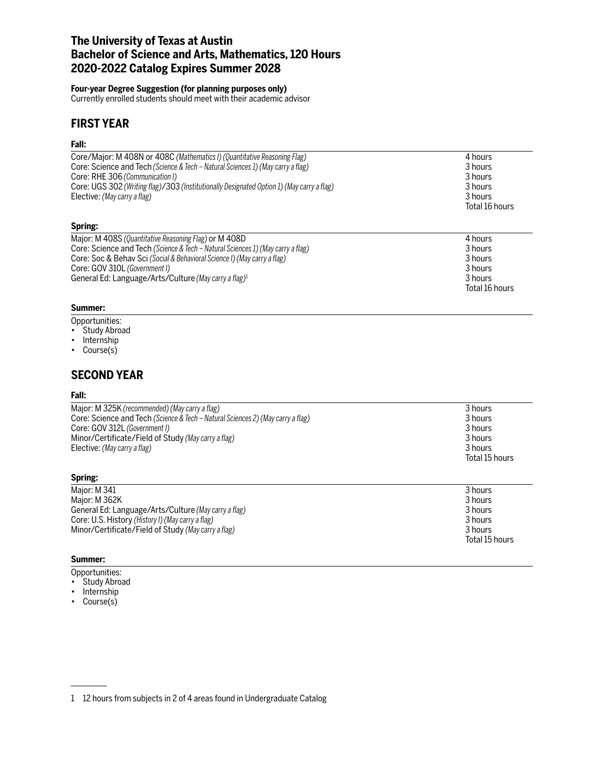# **The University of Texas at Austin Bachelor of Science and Arts, Mathematics, 120 Hours 2020-2022 Catalog Expires Summer 2028**

### **Four-year Degree Suggestion (for planning purposes only)**

Currently enrolled students should meet with their academic advisor

# **FIRST YEAR**

## **Fall:**

| Core/Major: M 408N or 408C (Mathematics I) (Quantitative Reasoning Flag)                  | 4 hours        |
|-------------------------------------------------------------------------------------------|----------------|
| Core: Science and Tech (Science & Tech - Natural Sciences 1) (May carry a flag)           | 3 hours        |
| Core: RHE 306 (Communication I)                                                           | 3 hours        |
| Core: UGS 302 (Writing flag)/303 (Institutionally Designated Option 1) (May carry a flag) | 3 hours        |
| Elective: (May carry a flag)                                                              | 3 hours        |
|                                                                                           | Total 16 hours |
| Spring:                                                                                   |                |
| Major: M 408S (Quantitative Reasoning Flag) or M 408D                                     | 4 hours        |
| Core: Science and Tech (Science & Tech - Natural Sciences 1) (May carry a flag)           | 3 hours        |
| Core: Soc & Behav Sci (Social & Behavioral Science I) (May carry a flag)                  | 3 hours        |
| Core: GOV 310L (Government I)                                                             | 3 hours        |
| General Ed: Language/Arts/Culture (May carry a flag) <sup>1</sup>                         | 3 hours        |
|                                                                                           | Total 16 hours |

## **Summer:**

- Opportunities:
- Study Abroad
- Internship
- Course(s)

# **SECOND YEAR**

## **Fall:**

| Major: M 325K (recommended) (May carry a flag)<br>Core: Science and Tech (Science & Tech – Natural Sciences 2) (May carry a flag)<br>Core: GOV 312L (Government I)<br>Minor/Certificate/Field of Study (May carry a flag)<br>Elective: (May carry a flag) | 3 hours<br>3 hours<br>3 hours<br>3 hours<br>3 hours<br>Total 15 hours |
|-----------------------------------------------------------------------------------------------------------------------------------------------------------------------------------------------------------------------------------------------------------|-----------------------------------------------------------------------|
|                                                                                                                                                                                                                                                           |                                                                       |

| Major: M 341                                         | 3 hours        |
|------------------------------------------------------|----------------|
| Maior: M 362K                                        | 3 hours        |
| General Ed: Language/Arts/Culture (May carry a flag) | 3 hours        |
| Core: U.S. History (History I) (May carry a flag)    | 3 hours        |
| Minor/Certificate/Field of Study (May carry a flag)  | 3 hours        |
|                                                      | Total 15 hours |

## **Summer:**

**Spring:**

- Opportunities:
- Study Abroad
- Internship
- Course(s)

1 12 hours from subjects in 2 of 4 areas found in Undergraduate Catalog